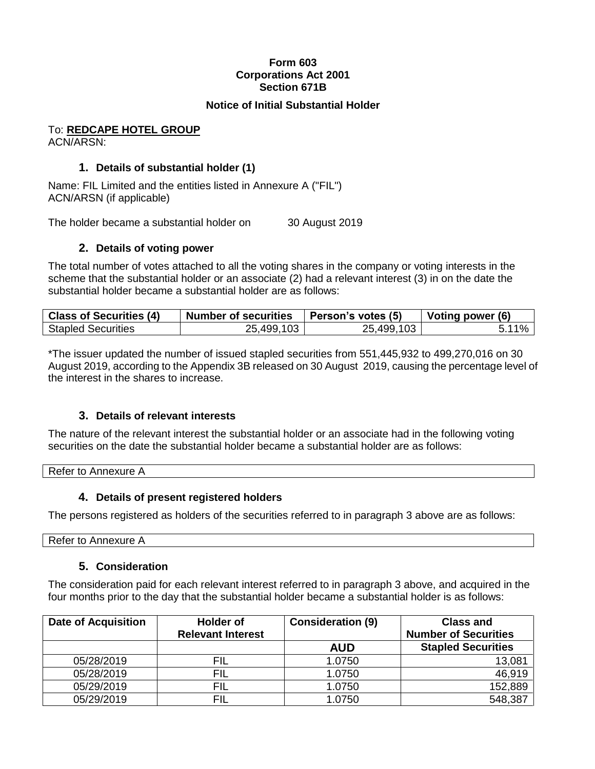## **Form 603 Corporations Act 2001 Section 671B**

#### **Notice of Initial Substantial Holder**

#### To: **REDCAPE HOTEL GROUP** ACN/ARSN:

#### **1. Details of substantial holder (1)**

Name: FIL Limited and the entities listed in Annexure A ("FIL") ACN/ARSN (if applicable)

The holder became a substantial holder on 30 August 2019

#### **2. Details of voting power**

The total number of votes attached to all the voting shares in the company or voting interests in the scheme that the substantial holder or an associate (2) had a relevant interest (3) in on the date the substantial holder became a substantial holder are as follows:

| <b>Class of Securities (4)</b> | Number of securities | Person's votes (5) | Voting power (6) |
|--------------------------------|----------------------|--------------------|------------------|
| <b>Stapled Securities</b>      | 25,499,103           | 25,499,103         | $5.11\%$         |

\*The issuer updated the number of issued stapled securities from 551,445,932 to 499,270,016 on 30 August 2019, according to the Appendix 3B released on 30 August 2019, causing the percentage level of the interest in the shares to increase.

## **3. Details of relevant interests**

The nature of the relevant interest the substantial holder or an associate had in the following voting securities on the date the substantial holder became a substantial holder are as follows:

Refer to Annexure A

## **4. Details of present registered holders**

The persons registered as holders of the securities referred to in paragraph 3 above are as follows:

Refer to Annexure A

## **5. Consideration**

The consideration paid for each relevant interest referred to in paragraph 3 above, and acquired in the four months prior to the day that the substantial holder became a substantial holder is as follows:

| <b>Date of Acquisition</b> | <b>Holder of</b>         | <b>Consideration (9)</b> | <b>Class and</b>            |
|----------------------------|--------------------------|--------------------------|-----------------------------|
|                            | <b>Relevant Interest</b> |                          | <b>Number of Securities</b> |
|                            |                          | <b>AUD</b>               | <b>Stapled Securities</b>   |
| 05/28/2019                 | FIL                      | 1.0750                   | 13,081                      |
| 05/28/2019                 | FIL                      | 1.0750                   | 46,919                      |
| 05/29/2019                 | <b>FIL</b>               | 1.0750                   | 152,889                     |
| 05/29/2019                 | <b>FIL</b>               | 1.0750                   | 548,387                     |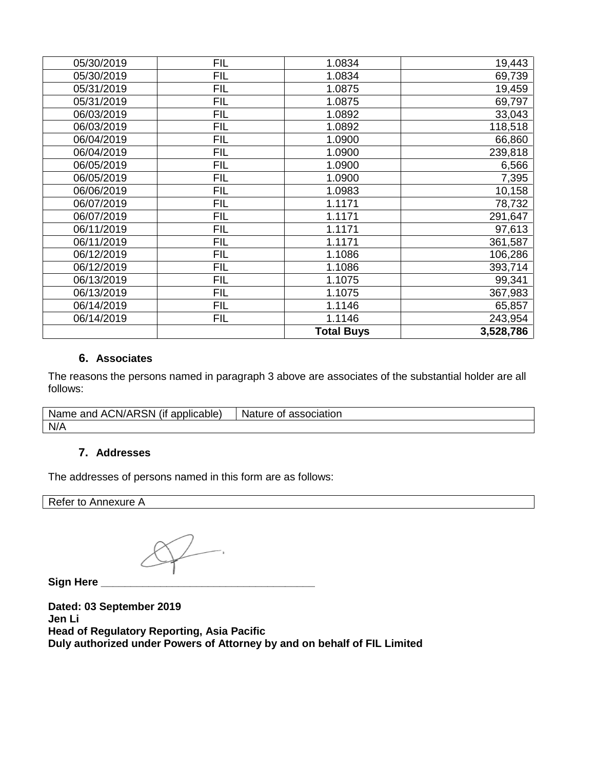| 05/30/2019 | <b>FIL</b> | 1.0834            | 19,443    |
|------------|------------|-------------------|-----------|
| 05/30/2019 | <b>FIL</b> | 1.0834            | 69,739    |
| 05/31/2019 | <b>FIL</b> | 1.0875            | 19,459    |
| 05/31/2019 | <b>FIL</b> | 1.0875            | 69,797    |
| 06/03/2019 | <b>FIL</b> | 1.0892            | 33,043    |
| 06/03/2019 | <b>FIL</b> | 1.0892            | 118,518   |
| 06/04/2019 | <b>FIL</b> | 1.0900            | 66,860    |
| 06/04/2019 | <b>FIL</b> | 1.0900            | 239,818   |
| 06/05/2019 | <b>FIL</b> | 1.0900            | 6,566     |
| 06/05/2019 | <b>FIL</b> | 1.0900            | 7,395     |
| 06/06/2019 | <b>FIL</b> | 1.0983            | 10,158    |
| 06/07/2019 | <b>FIL</b> | 1.1171            | 78,732    |
| 06/07/2019 | <b>FIL</b> | 1.1171            | 291,647   |
| 06/11/2019 | <b>FIL</b> | 1.1171            | 97,613    |
| 06/11/2019 | <b>FIL</b> | 1.1171            | 361,587   |
| 06/12/2019 | <b>FIL</b> | 1.1086            | 106,286   |
| 06/12/2019 | <b>FIL</b> | 1.1086            | 393,714   |
| 06/13/2019 | <b>FIL</b> | 1.1075            | 99,341    |
| 06/13/2019 | <b>FIL</b> | 1.1075            | 367,983   |
| 06/14/2019 | <b>FIL</b> | 1.1146            | 65,857    |
| 06/14/2019 | <b>FIL</b> | 1.1146            | 243,954   |
|            |            | <b>Total Buys</b> | 3,528,786 |

# **6. Associates**

The reasons the persons named in paragraph 3 above are associates of the substantial holder are all follows:

| $\cdots$<br><br>Name<br>/ARSN<br>ACN/<br>applica<br>and<br>applicable)<br>( I1<br>n., | Nature .<br>association<br>ΟĪ |
|---------------------------------------------------------------------------------------|-------------------------------|
| N/A                                                                                   |                               |

#### **7. Addresses**

The addresses of persons named in this form are as follows:

Refer to Annexure A

**Sign Here \_\_\_\_\_\_\_\_\_\_\_\_\_\_\_\_\_\_\_\_\_\_\_\_\_\_\_\_\_\_\_\_\_\_\_\_**

**Dated: 03 September 2019 Jen Li Head of Regulatory Reporting, Asia Pacific Duly authorized under Powers of Attorney by and on behalf of FIL Limited**